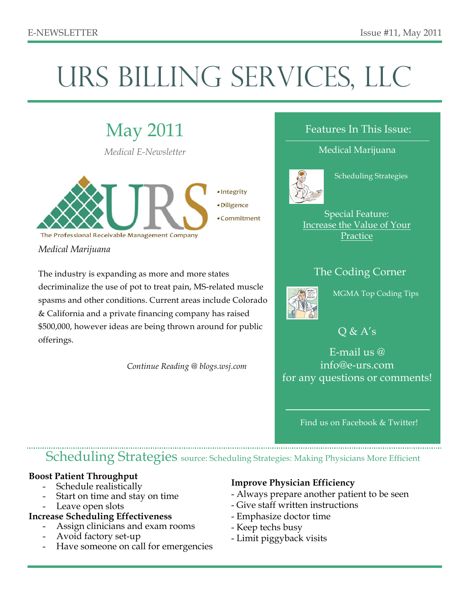# URS BILLING SERVICES, LLC

May 2011 *Medical E-Newsletter*



*Medical Marijuana*

The industry is expanding as more and more states decriminalize the use of pot to treat pain, MS-related muscle spasms and other conditions. Current areas include Colorado & California and a private financing company has raised \$500,000, however ideas are being thrown around for public offerings.

 *Continue Reading @ blogs.wsj.com*

#### Features In This Issue:

Medical Marijuana



Scheduling Strategies

Special Feature: Increase the Value of Your **Practice** 

## The Coding Corner



MGMA Top Coding Tips

 $Q & A's$ 

E-mail us @ info@e-urs.com for any questions or comments!

Find us on Facebook & Twitter!

# Scheduling Strategies source: Scheduling Strategies: Making Physicians More Efficient

#### **Boost Patient Throughput**

- Schedule realistically
- Start on time and stay on time
- Leave open slots
- **Increase Scheduling Effectiveness**
	- Assign clinicians and exam rooms
	- Avoid factory set-up
	- Have someone on call for emergencies

#### **Improve Physician Efficiency**

- Always prepare another patient to be seen
- Give staff written instructions
- Emphasize doctor time
- Keep techs busy
- Limit piggyback visits